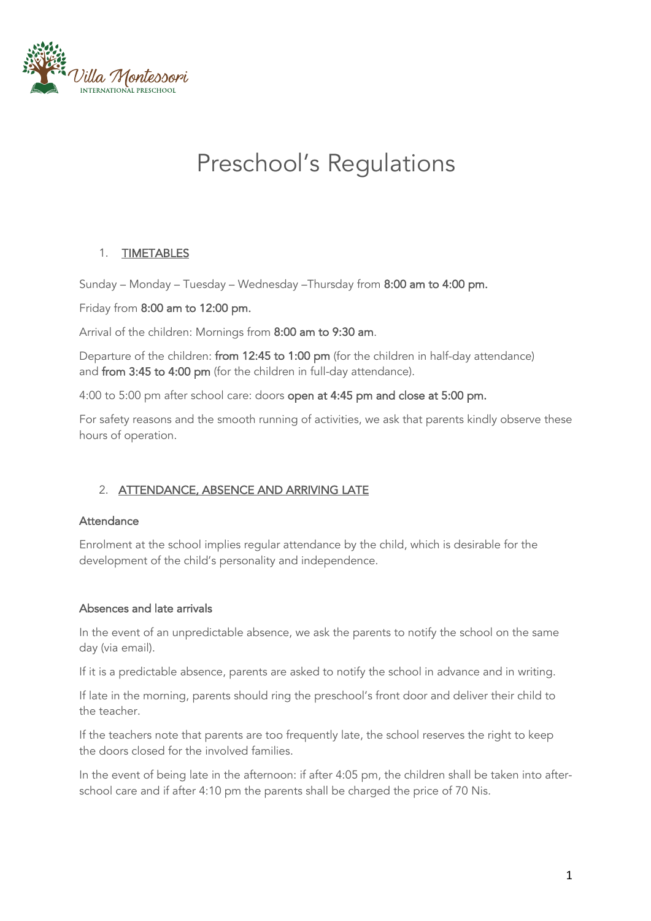

# Preschool's Regulations

## 1. TIMETABLES

Sunday – Monday – Tuesday – Wednesday –Thursday from 8:00 am to 4:00 pm.

#### Friday from 8:00 am to 12:00 pm.

Arrival of the children: Mornings from 8:00 am to 9:30 am.

Departure of the children: from 12:45 to 1:00 pm (for the children in half-day attendance) and from 3:45 to 4:00 pm (for the children in full-day attendance).

4:00 to 5:00 pm after school care: doors open at 4:45 pm and close at 5:00 pm.

For safety reasons and the smooth running of activities, we ask that parents kindly observe these hours of operation.

## 2. ATTENDANCE, ABSENCE AND ARRIVING LATE

#### **Attendance**

Enrolment at the school implies regular attendance by the child, which is desirable for the development of the child's personality and independence.

## Absences and late arrivals

In the event of an unpredictable absence, we ask the parents to notify the school on the same day (via email).

If it is a predictable absence, parents are asked to notify the school in advance and in writing.

If late in the morning, parents should ring the preschool's front door and deliver their child to the teacher.

If the teachers note that parents are too frequently late, the school reserves the right to keep the doors closed for the involved families.

In the event of being late in the afternoon: if after 4:05 pm, the children shall be taken into afterschool care and if after 4:10 pm the parents shall be charged the price of 70 Nis.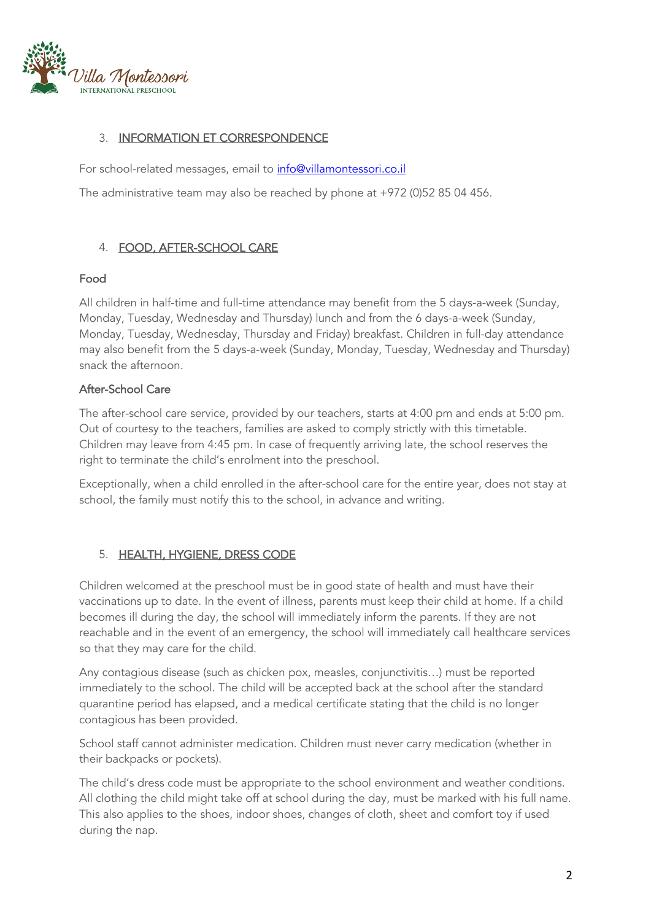

## 3. INFORMATION ET CORRESPONDENCE

For school-related messages, email to info@villamontessori.co.il

The administrative team may also be reached by phone at +972 (0)52 85 04 456.

# 4. FOOD, AFTER-SCHOOL CARE

#### Food

All children in half-time and full-time attendance may benefit from the 5 days-a-week (Sunday, Monday, Tuesday, Wednesday and Thursday) lunch and from the 6 days-a-week (Sunday, Monday, Tuesday, Wednesday, Thursday and Friday) breakfast. Children in full-day attendance may also benefit from the 5 days-a-week (Sunday, Monday, Tuesday, Wednesday and Thursday) snack the afternoon.

## After-School Care

The after-school care service, provided by our teachers, starts at 4:00 pm and ends at 5:00 pm. Out of courtesy to the teachers, families are asked to comply strictly with this timetable. Children may leave from 4:45 pm. In case of frequently arriving late, the school reserves the right to terminate the child's enrolment into the preschool.

Exceptionally, when a child enrolled in the after-school care for the entire year, does not stay at school, the family must notify this to the school, in advance and writing.

## 5. HEALTH, HYGIENE, DRESS CODE

Children welcomed at the preschool must be in good state of health and must have their vaccinations up to date. In the event of illness, parents must keep their child at home. If a child becomes ill during the day, the school will immediately inform the parents. If they are not reachable and in the event of an emergency, the school will immediately call healthcare services so that they may care for the child.

Any contagious disease (such as chicken pox, measles, conjunctivitis…) must be reported immediately to the school. The child will be accepted back at the school after the standard quarantine period has elapsed, and a medical certificate stating that the child is no longer contagious has been provided.

School staff cannot administer medication. Children must never carry medication (whether in their backpacks or pockets).

The child's dress code must be appropriate to the school environment and weather conditions. All clothing the child might take off at school during the day, must be marked with his full name. This also applies to the shoes, indoor shoes, changes of cloth, sheet and comfort toy if used during the nap.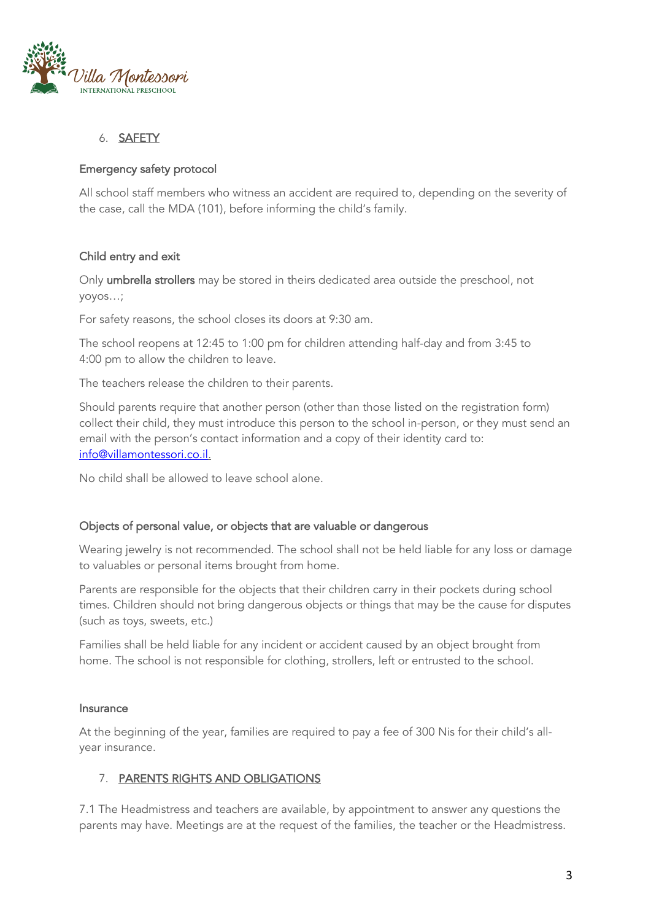

#### 6. SAFETY

#### Emergency safety protocol

All school staff members who witness an accident are required to, depending on the severity of the case, call the MDA (101), before informing the child's family.

#### Child entry and exit

Only umbrella strollers may be stored in theirs dedicated area outside the preschool, not yoyos…;

For safety reasons, the school closes its doors at 9:30 am.

The school reopens at 12:45 to 1:00 pm for children attending half-day and from 3:45 to 4:00 pm to allow the children to leave.

The teachers release the children to their parents.

Should parents require that another person (other than those listed on the registration form) collect their child, they must introduce this person to the school in-person, or they must send an email with the person's contact information and a copy of their identity card to: info@villamontessori.co.il.

No child shall be allowed to leave school alone.

#### Objects of personal value, or objects that are valuable or dangerous

Wearing jewelry is not recommended. The school shall not be held liable for any loss or damage to valuables or personal items brought from home.

Parents are responsible for the objects that their children carry in their pockets during school times. Children should not bring dangerous objects or things that may be the cause for disputes (such as toys, sweets, etc.)

Families shall be held liable for any incident or accident caused by an object brought from home. The school is not responsible for clothing, strollers, left or entrusted to the school.

#### Insurance

At the beginning of the year, families are required to pay a fee of 300 Nis for their child's allyear insurance.

## 7. PARENTS RIGHTS AND OBLIGATIONS

7.1 The Headmistress and teachers are available, by appointment to answer any questions the parents may have. Meetings are at the request of the families, the teacher or the Headmistress.